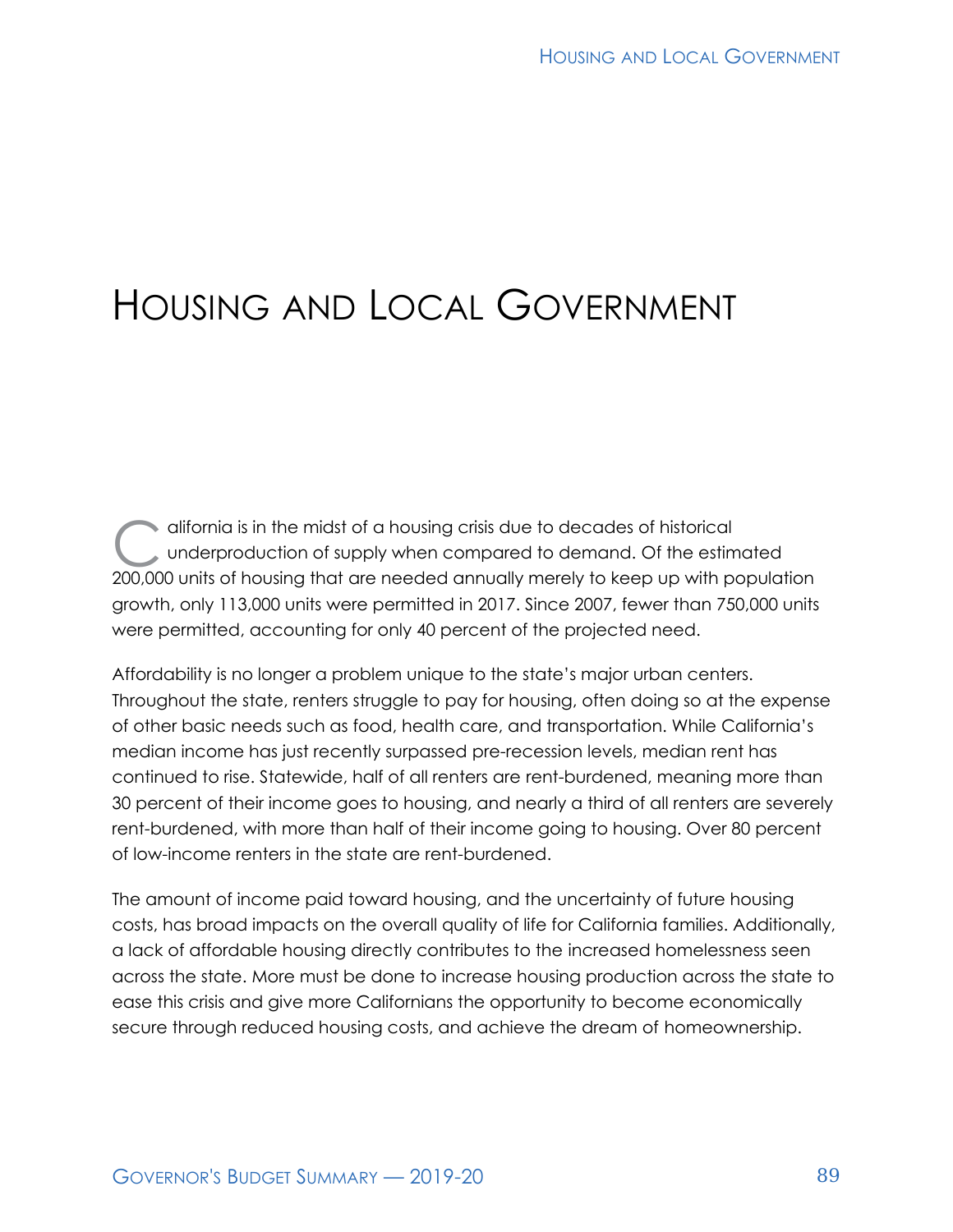# HOUSING AND LOCAL GOVERNMENT

difornia is in the midst of a housing crisis due to decades of historical<br>underproduction of supply when compared to demand. Of the estimated and the state of housing that are needed annually marsh to keep up with p underproduction of supply when compared to demand. Of the estimated 200,000 units of housing that are needed annually merely to keep up with population growth, only 113,000 units were permitted in 2017. Since 2007, fewer than 750,000 units were permitted, accounting for only 40 percent of the projected need.

Affordability is no longer a problem unique to the state's major urban centers. Throughout the state, renters struggle to pay for housing, often doing so at the expense of other basic needs such as food, health care, and transportation. While California's median income has just recently surpassed pre-recession levels, median rent has continued to rise. Statewide, half of all renters are rent-burdened, meaning more than 30 percent of their income goes to housing, and nearly a third of all renters are severely rent-burdened, with more than half of their income going to housing. Over 80 percent of low-income renters in the state are rent-burdened.

The amount of income paid toward housing, and the uncertainty of future housing costs, has broad impacts on the overall quality of life for California families. Additionally, a lack of affordable housing directly contributes to the increased homelessness seen across the state. More must be done to increase housing production across the state to ease this crisis and give more Californians the opportunity to become economically secure through reduced housing costs, and achieve the dream of homeownership.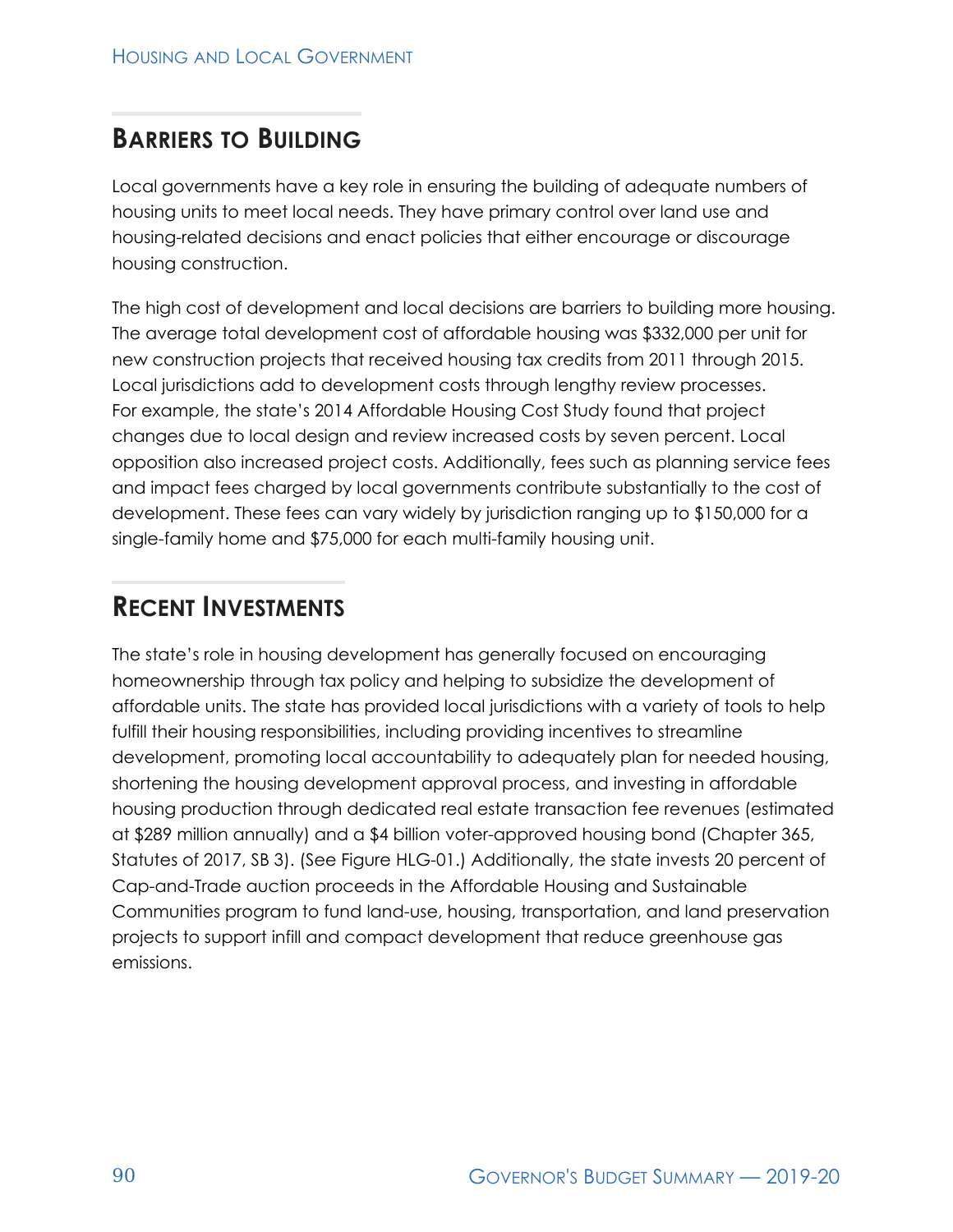# **BARRIERS TO BUILDING**

Local governments have a key role in ensuring the building of adequate numbers of housing units to meet local needs. They have primary control over land use and housing-related decisions and enact policies that either encourage or discourage housing construction.

The high cost of development and local decisions are barriers to building more housing. The average total development cost of affordable housing was \$332,000 per unit for new construction projects that received housing tax credits from 2011 through 2015. Local jurisdictions add to development costs through lengthy review processes. For example, the state's 2014 Affordable Housing Cost Study found that project changes due to local design and review increased costs by seven percent. Local opposition also increased project costs. Additionally, fees such as planning service fees and impact fees charged by local governments contribute substantially to the cost of development. These fees can vary widely by jurisdiction ranging up to \$150,000 for a single-family home and \$75,000 for each multi-family housing unit.

### **RECENT INVESTMENTS**

The state's role in housing development has generally focused on encouraging homeownership through tax policy and helping to subsidize the development of affordable units. The state has provided local jurisdictions with a variety of tools to help fulfill their housing responsibilities, including providing incentives to streamline development, promoting local accountability to adequately plan for needed housing, shortening the housing development approval process, and investing in affordable housing production through dedicated real estate transaction fee revenues (estimated at \$289 million annually) and a \$4 billion voter-approved housing bond (Chapter 365, Statutes of 2017, SB 3). (See Figure HLG-01.) Additionally, the state invests 20 percent of Cap-and-Trade auction proceeds in the Affordable Housing and Sustainable Communities program to fund land-use, housing, transportation, and land preservation projects to support infill and compact development that reduce greenhouse gas emissions.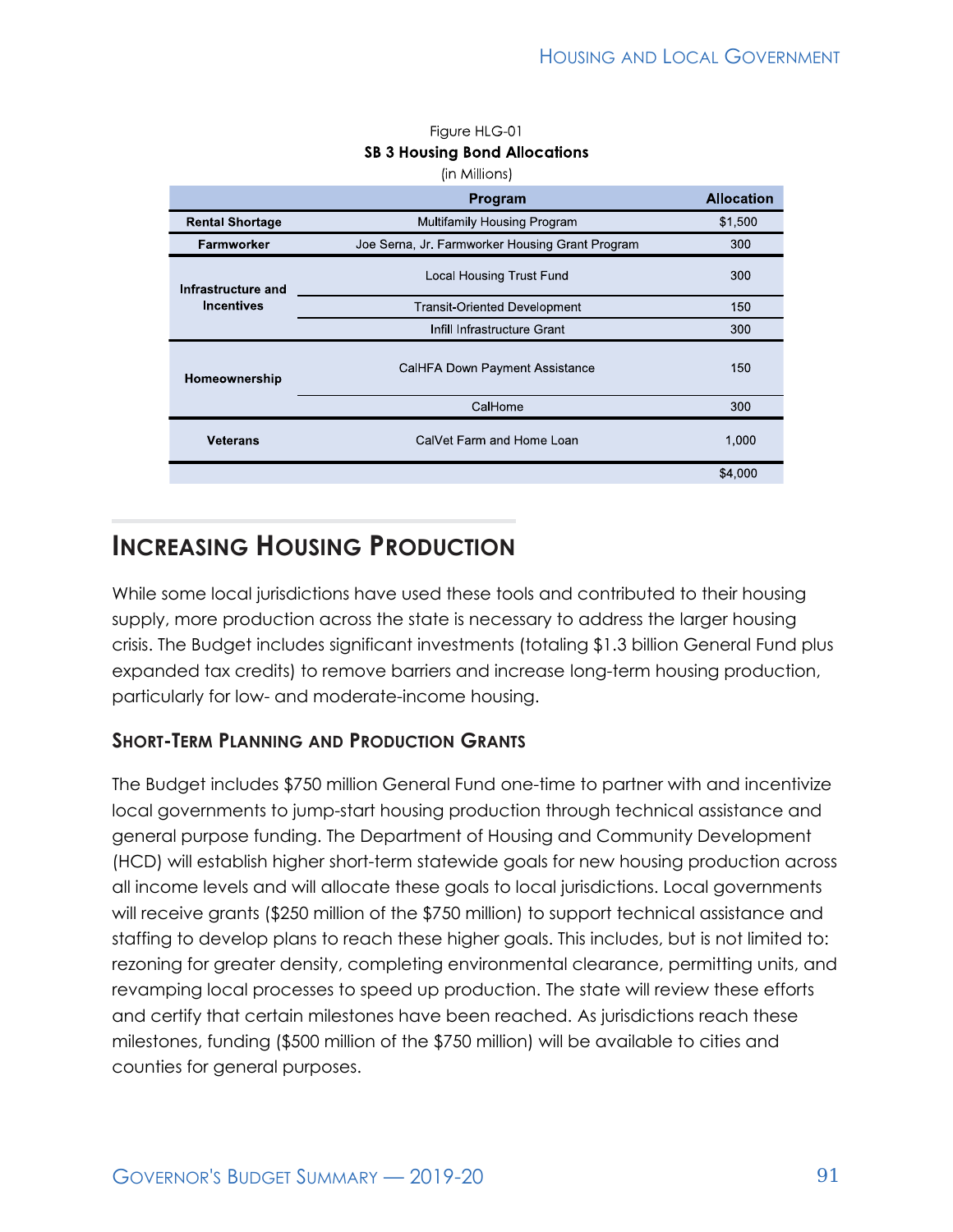|                                         | (in Millions)                                   |                   |
|-----------------------------------------|-------------------------------------------------|-------------------|
|                                         | Program                                         | <b>Allocation</b> |
| <b>Rental Shortage</b>                  | <b>Multifamily Housing Program</b>              | \$1,500           |
| <b>Farmworker</b>                       | Joe Serna, Jr. Farmworker Housing Grant Program | 300               |
| Infrastructure and<br><b>Incentives</b> | Local Housing Trust Fund                        | 300               |
|                                         | <b>Transit-Oriented Development</b>             | 150               |
|                                         | Infill Infrastructure Grant                     | 300               |
| Homeownership                           | CalHFA Down Payment Assistance                  | 150               |
|                                         | CalHome                                         | 300               |
| <b>Veterans</b>                         | CalVet Farm and Home Loan                       | 1,000             |
|                                         |                                                 | \$4,000           |

#### Figure HLG-01 **SB 3 Housing Bond Allocations**

# **INCREASING HOUSING PRODUCTION**

While some local jurisdictions have used these tools and contributed to their housing supply, more production across the state is necessary to address the larger housing crisis. The Budget includes significant investments (totaling \$1.3 billion General Fund plus expanded tax credits) to remove barriers and increase long-term housing production, particularly for low- and moderate-income housing.

### **SHORT-TERM PLANNING AND PRODUCTION GRANTS**

The Budget includes \$750 million General Fund one-time to partner with and incentivize local governments to jump-start housing production through technical assistance and general purpose funding. The Department of Housing and Community Development (HCD) will establish higher short-term statewide goals for new housing production across all income levels and will allocate these goals to local jurisdictions. Local governments will receive grants (\$250 million of the \$750 million) to support technical assistance and staffing to develop plans to reach these higher goals. This includes, but is not limited to: rezoning for greater density, completing environmental clearance, permitting units, and revamping local processes to speed up production. The state will review these efforts and certify that certain milestones have been reached. As jurisdictions reach these milestones, funding (\$500 million of the \$750 million) will be available to cities and counties for general purposes.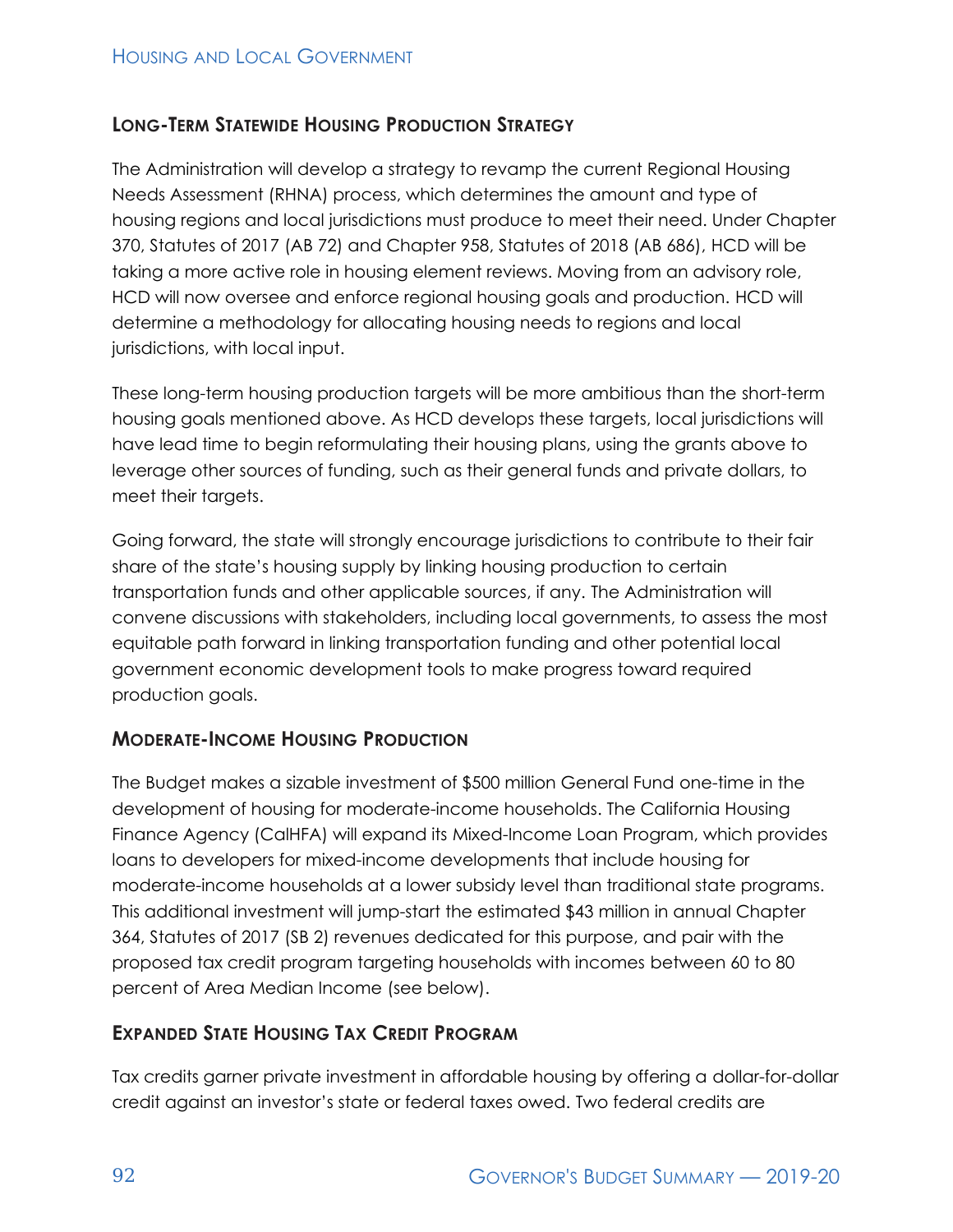### **LONG-TERM STATEWIDE HOUSING PRODUCTION STRATEGY**

The Administration will develop a strategy to revamp the current Regional Housing Needs Assessment (RHNA) process, which determines the amount and type of housing regions and local jurisdictions must produce to meet their need. Under Chapter 370, Statutes of 2017 (AB 72) and Chapter 958, Statutes of 2018 (AB 686), HCD will be taking a more active role in housing element reviews. Moving from an advisory role, HCD will now oversee and enforce regional housing goals and production. HCD will determine a methodology for allocating housing needs to regions and local jurisdictions, with local input.

These long-term housing production targets will be more ambitious than the short-term housing goals mentioned above. As HCD develops these targets, local jurisdictions will have lead time to begin reformulating their housing plans, using the grants above to leverage other sources of funding, such as their general funds and private dollars, to meet their targets.

Going forward, the state will strongly encourage jurisdictions to contribute to their fair share of the state's housing supply by linking housing production to certain transportation funds and other applicable sources, if any. The Administration will convene discussions with stakeholders, including local governments, to assess the most equitable path forward in linking transportation funding and other potential local government economic development tools to make progress toward required production goals.

#### **MODERATE-INCOME HOUSING PRODUCTION**

The Budget makes a sizable investment of \$500 million General Fund one-time in the development of housing for moderate-income households. The California Housing Finance Agency (CalHFA) will expand its Mixed-Income Loan Program, which provides loans to developers for mixed-income developments that include housing for moderate-income households at a lower subsidy level than traditional state programs. This additional investment will jump-start the estimated \$43 million in annual Chapter 364, Statutes of 2017 (SB 2) revenues dedicated for this purpose, and pair with the proposed tax credit program targeting households with incomes between 60 to 80 percent of Area Median Income (see below).

#### **EXPANDED STATE HOUSING TAX CREDIT PROGRAM**

Tax credits garner private investment in affordable housing by offering a dollar-for-dollar credit against an investor's state or federal taxes owed. Two federal credits are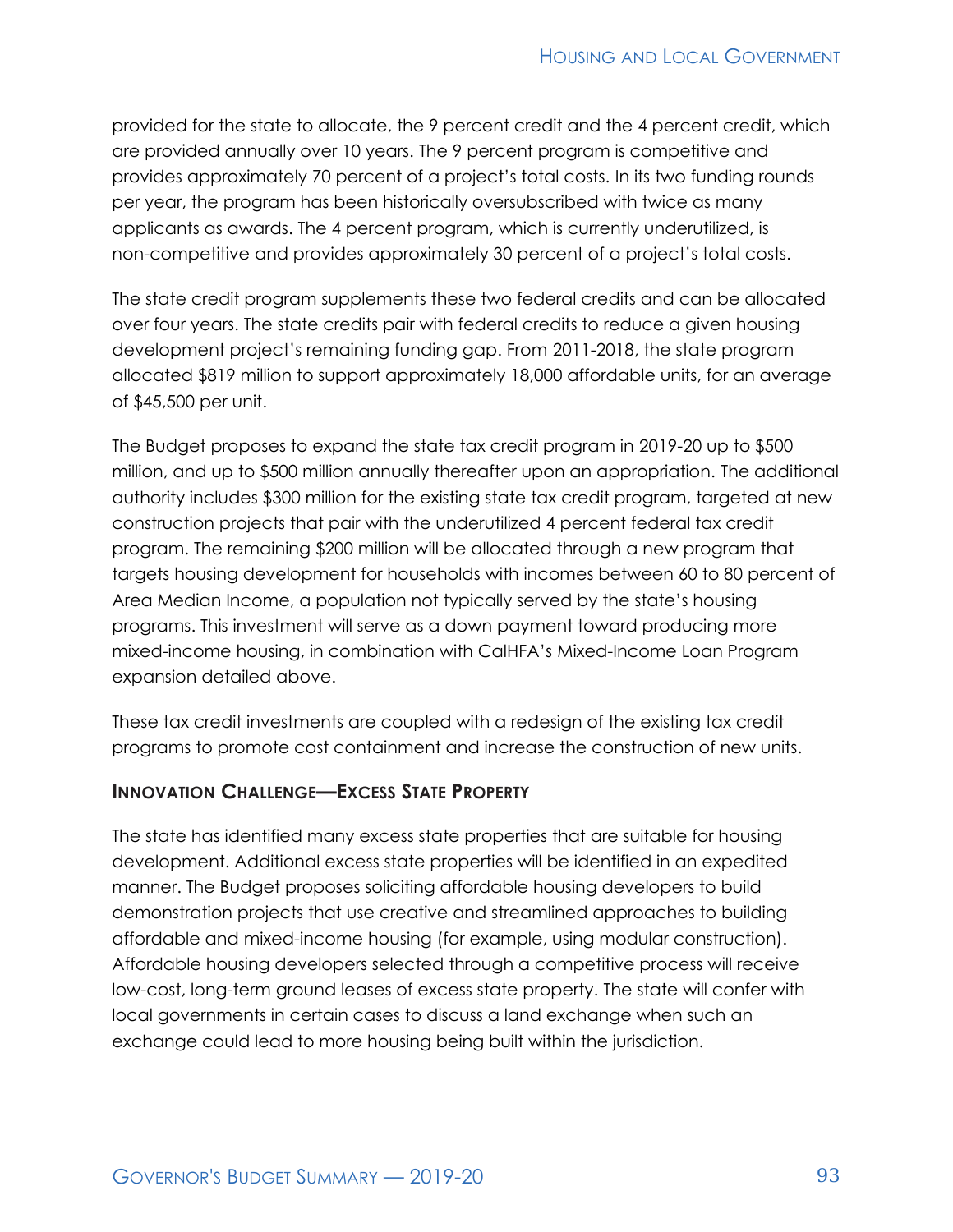provided for the state to allocate, the 9 percent credit and the 4 percent credit, which are provided annually over 10 years. The 9 percent program is competitive and provides approximately 70 percent of a project's total costs. In its two funding rounds per year, the program has been historically oversubscribed with twice as many applicants as awards. The 4 percent program, which is currently underutilized, is non-competitive and provides approximately 30 percent of a project's total costs.

The state credit program supplements these two federal credits and can be allocated over four years. The state credits pair with federal credits to reduce a given housing development project's remaining funding gap. From 2011-2018, the state program allocated \$819 million to support approximately 18,000 affordable units, for an average of \$45,500 per unit.

The Budget proposes to expand the state tax credit program in 2019-20 up to \$500 million, and up to \$500 million annually thereafter upon an appropriation. The additional authority includes \$300 million for the existing state tax credit program, targeted at new construction projects that pair with the underutilized 4 percent federal tax credit program. The remaining \$200 million will be allocated through a new program that targets housing development for households with incomes between 60 to 80 percent of Area Median Income, a population not typically served by the state's housing programs. This investment will serve as a down payment toward producing more mixed-income housing, in combination with CalHFA's Mixed-Income Loan Program expansion detailed above.

These tax credit investments are coupled with a redesign of the existing tax credit programs to promote cost containment and increase the construction of new units.

#### **INNOVATION CHALLENGE—EXCESS STATE PROPERTY**

The state has identified many excess state properties that are suitable for housing development. Additional excess state properties will be identified in an expedited manner. The Budget proposes soliciting affordable housing developers to build demonstration projects that use creative and streamlined approaches to building affordable and mixed-income housing (for example, using modular construction). Affordable housing developers selected through a competitive process will receive low-cost, long-term ground leases of excess state property. The state will confer with local governments in certain cases to discuss a land exchange when such an exchange could lead to more housing being built within the jurisdiction.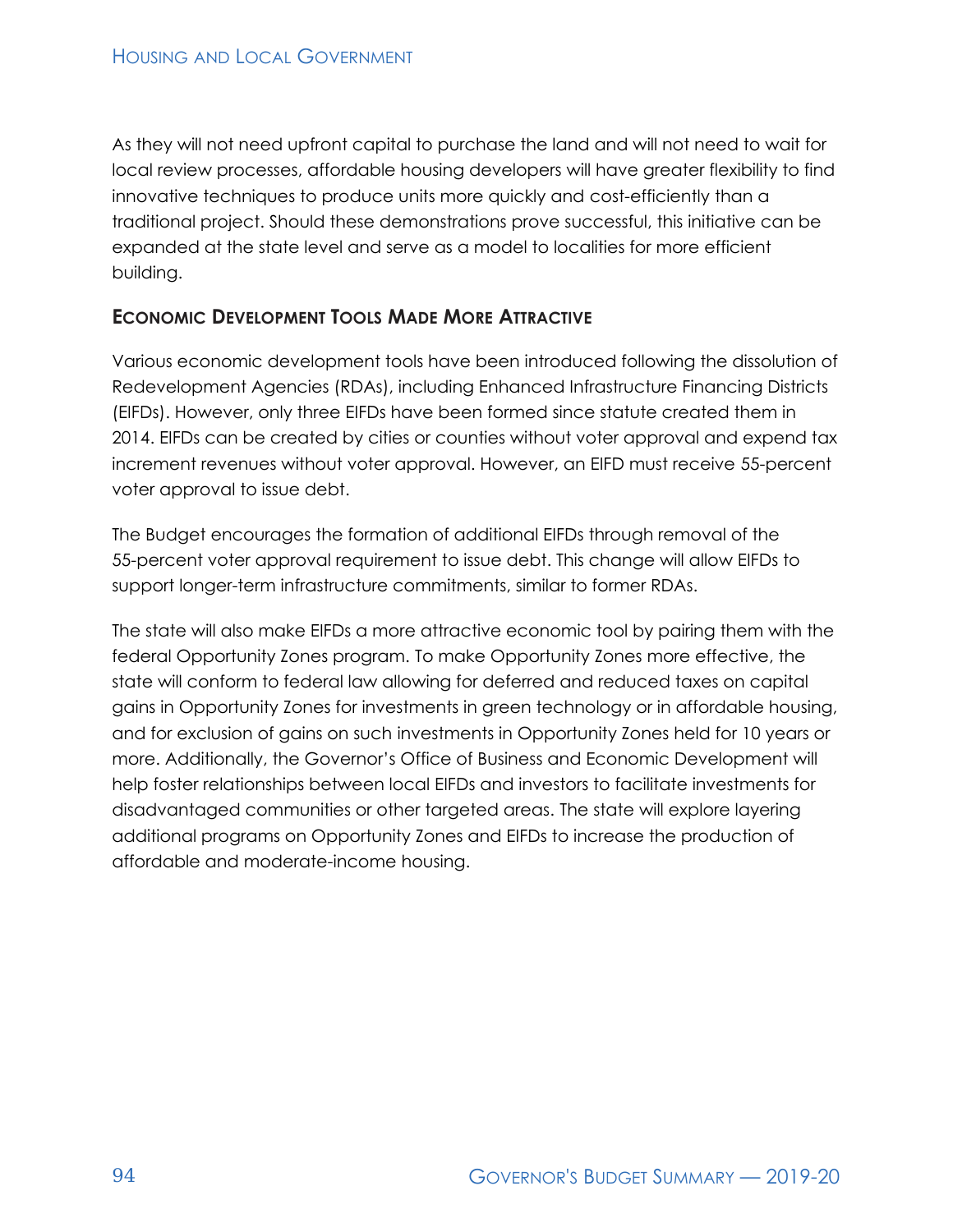As they will not need upfront capital to purchase the land and will not need to wait for local review processes, affordable housing developers will have greater flexibility to find innovative techniques to produce units more quickly and cost-efficiently than a traditional project. Should these demonstrations prove successful, this initiative can be expanded at the state level and serve as a model to localities for more efficient building.

#### **ECONOMIC DEVELOPMENT TOOLS MADE MORE ATTRACTIVE**

Various economic development tools have been introduced following the dissolution of Redevelopment Agencies (RDAs), including Enhanced Infrastructure Financing Districts (EIFDs). However, only three EIFDs have been formed since statute created them in 2014. EIFDs can be created by cities or counties without voter approval and expend tax increment revenues without voter approval. However, an EIFD must receive 55-percent voter approval to issue debt.

The Budget encourages the formation of additional EIFDs through removal of the 55-percent voter approval requirement to issue debt. This change will allow EIFDs to support longer-term infrastructure commitments, similar to former RDAs.

The state will also make EIFDs a more attractive economic tool by pairing them with the federal Opportunity Zones program. To make Opportunity Zones more effective, the state will conform to federal law allowing for deferred and reduced taxes on capital gains in Opportunity Zones for investments in green technology or in affordable housing, and for exclusion of gains on such investments in Opportunity Zones held for 10 years or more. Additionally, the Governor's Office of Business and Economic Development will help foster relationships between local EIFDs and investors to facilitate investments for disadvantaged communities or other targeted areas. The state will explore layering additional programs on Opportunity Zones and EIFDs to increase the production of affordable and moderate-income housing.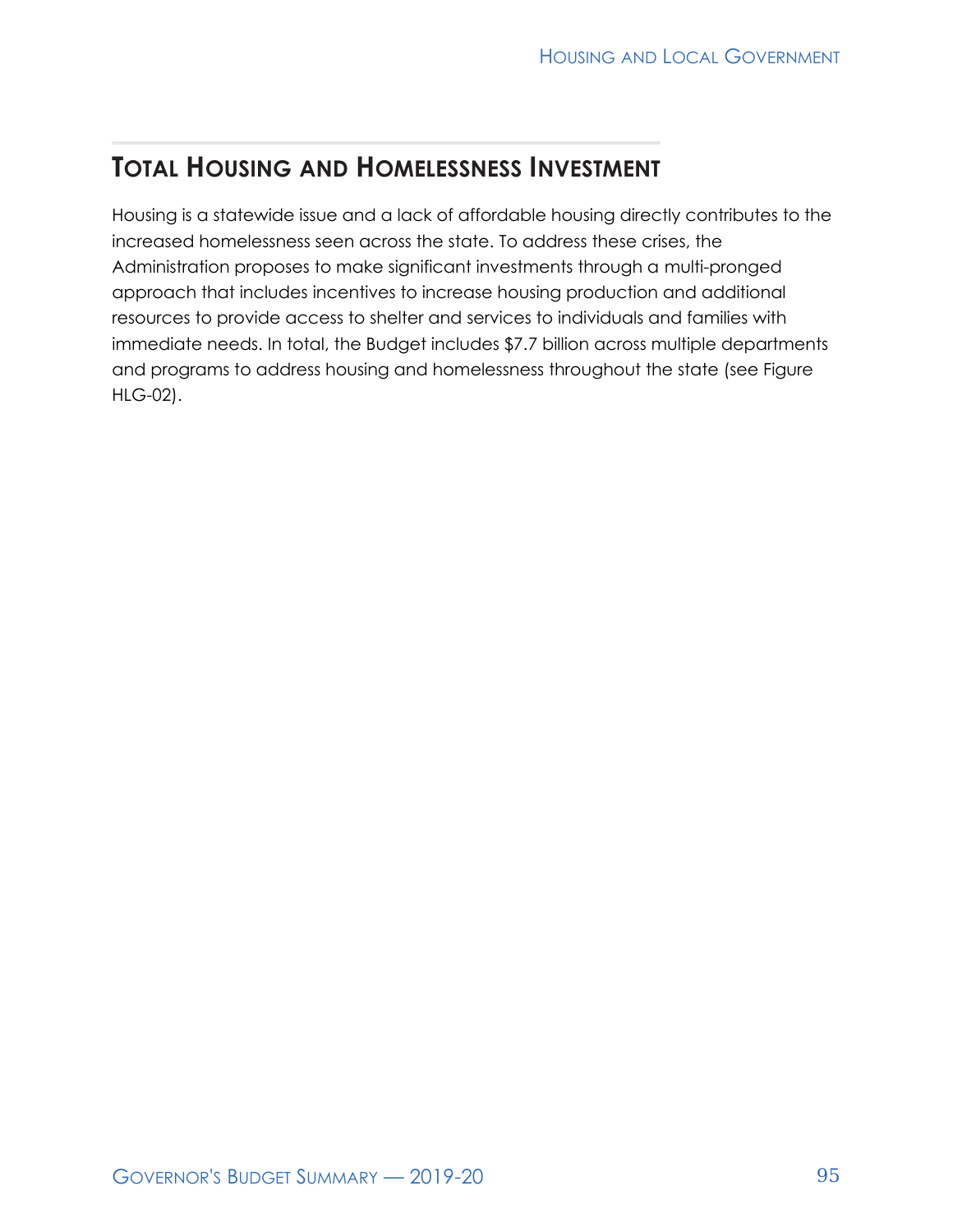# **TOTAL HOUSING AND HOMELESSNESS INVESTMENT**

Housing is a statewide issue and a lack of affordable housing directly contributes to the increased homelessness seen across the state. To address these crises, the Administration proposes to make significant investments through a multi-pronged approach that includes incentives to increase housing production and additional resources to provide access to shelter and services to individuals and families with immediate needs. In total, the Budget includes \$7.7 billion across multiple departments and programs to address housing and homelessness throughout the state (see Figure HLG-02).